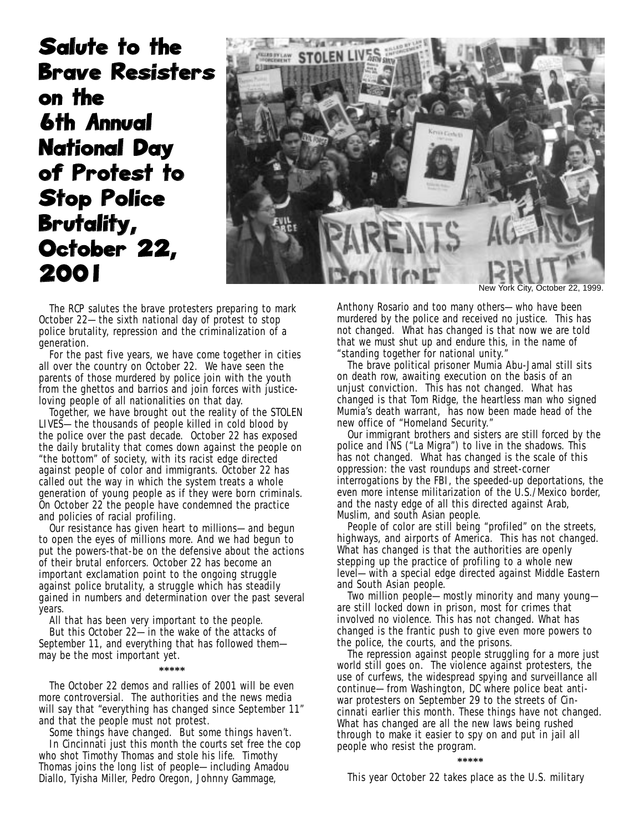Salute to the Brave Resisters on the 6th Annual National Day of Protest to Stop Police Brutality, October 22, 2001



York City, October 22, 1999.

The RCP salutes the brave protesters preparing to mark October 22—the sixth national day of protest to stop police brutality, repression and the criminalization of a generation.

For the past five years, we have come together in cities all over the country on October 22. We have seen the parents of those murdered by police join with the youth from the ghettos and barrios and join forces with justiceloving people of all nationalities on that day.

Together, we have brought out the reality of the STOLEN LIVES—the thousands of people killed in cold blood by the police over the past decade. October 22 has exposed the daily brutality that comes down against the people on "the bottom" of society, with its racist edge directed against people of color and immigrants. October 22 has called out the way in which the system treats a whole generation of young people as if they were born criminals. On October 22 the people have condemned the practice and policies of racial profiling.

Our resistance has given heart to millions—and begun to open the eyes of millions more. And we had begun to put the powers-that-be on the defensive about the actions of their brutal enforcers. October 22 has become an important exclamation point to the ongoing struggle against police brutality, a struggle which has steadily gained in numbers and determination over the past several years.

All that has been very important to the people.

But this October 22—in the wake of the attacks of September 11, and everything that has followed them may be the most important yet.

## **\*\*\*\*\***

The October 22 demos and rallies of 2001 will be even more controversial. The authorities and the news media will say that "everything has changed since September 11" and that the people must not protest.

Some things have changed. But some things haven't.

In Cincinnati just this month the courts set free the cop who shot Timothy Thomas and stole his life. Timothy Thomas joins the long list of people—including Amadou Diallo, Tyisha Miller, Pedro Oregon, Johnny Gammage,

Anthony Rosario and too many others—who have been murdered by the police and received no justice. This has not changed. What has changed is that now we are told that we must shut up and endure this, in the name of "standing together for national unity."

The brave political prisoner Mumia Abu-Jamal still sits on death row, awaiting execution on the basis of an unjust conviction. This has not changed. What has changed is that Tom Ridge, the heartless man who signed Mumia's death warrant, has now been made head of the new office of "Homeland Security."

Our immigrant brothers and sisters are still forced by the police and INS ("La Migra") to live in the shadows. This has not changed. What has changed is the scale of this oppression: the vast roundups and street-corner interrogations by the FBI, the speeded-up deportations, the even more intense militarization of the U.S./Mexico border, and the nasty edge of all this directed against Arab, Muslim, and south Asian people.

People of color are still being "profiled" on the streets, highways, and airports of America. This has not changed. What has changed is that the authorities are openly stepping up the practice of profiling to a whole new level—with a special edge directed against Middle Eastern and South Asian people.

Two million people—mostly minority and many young are still locked down in prison, most for crimes that involved no violence. This has not changed. What has changed is the frantic push to give even more powers to the police, the courts, and the prisons.

The repression against people struggling for a more just world still goes on. The violence against protesters, the use of curfews, the widespread spying and surveillance all continue—from Washington, DC where police beat antiwar protesters on September 29 to the streets of Cincinnati earlier this month. These things have not changed. What has changed are all the new laws being rushed through to make it easier to spy on and put in jail all people who resist the program.

## **\*\*\*\*\***

This year October 22 takes place as the U.S. military